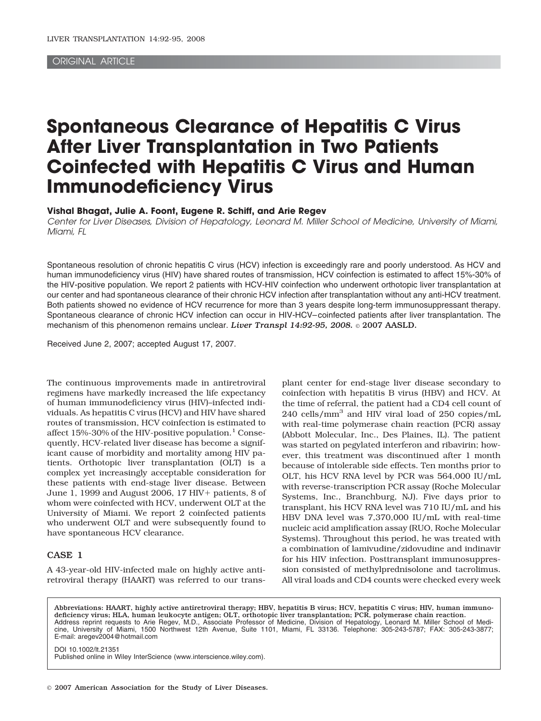# ORIGINAL ARTICLE

# **Spontaneous Clearance of Hepatitis C Virus After Liver Transplantation in Two Patients Coinfected with Hepatitis C Virus and Human Immunodeficiency Virus**

**Vishal Bhagat, Julie A. Foont, Eugene R. Schiff, and Arie Regev**

Center for Liver Diseases, Division of Hepatology, Leonard M. Miller School of Medicine, University of Miami, Miami, FL

Spontaneous resolution of chronic hepatitis C virus (HCV) infection is exceedingly rare and poorly understood. As HCV and human immunodeficiency virus (HIV) have shared routes of transmission, HCV coinfection is estimated to affect 15%-30% of the HIV-positive population. We report 2 patients with HCV-HIV coinfection who underwent orthotopic liver transplantation at our center and had spontaneous clearance of their chronic HCV infection after transplantation without any anti-HCV treatment. Both patients showed no evidence of HCV recurrence for more than 3 years despite long-term immunosuppressant therapy. Spontaneous clearance of chronic HCV infection can occur in HIV-HCV– coinfected patients after liver transplantation. The mechanism of this phenomenon remains unclear. *Liver Transpl 14:92-95, 2008.* © 2007 AASLD.

Received June 2, 2007; accepted August 17, 2007.

The continuous improvements made in antiretroviral regimens have markedly increased the life expectancy of human immunodeficiency virus (HIV)–infected individuals. As hepatitis C virus (HCV) and HIV have shared routes of transmission, HCV coinfection is estimated to affect  $15\% - 30\%$  of the HIV-positive population.<sup>1</sup> Consequently, HCV-related liver disease has become a significant cause of morbidity and mortality among HIV patients. Orthotopic liver transplantation (OLT) is a complex yet increasingly acceptable consideration for these patients with end-stage liver disease. Between June 1, 1999 and August 2006, 17 HIV + patients, 8 of whom were coinfected with HCV, underwent OLT at the University of Miami. We report 2 coinfected patients who underwent OLT and were subsequently found to have spontaneous HCV clearance.

# CASE 1

A 43-year-old HIV-infected male on highly active antiretroviral therapy (HAART) was referred to our transplant center for end-stage liver disease secondary to coinfection with hepatitis B virus (HBV) and HCV. At the time of referral, the patient had a CD4 cell count of 240 cells/mm3 and HIV viral load of 250 copies/mL with real-time polymerase chain reaction (PCR) assay (Abbott Molecular, Inc., Des Plaines, IL). The patient was started on pegylated interferon and ribavirin; however, this treatment was discontinued after 1 month because of intolerable side effects. Ten months prior to OLT, his HCV RNA level by PCR was 564,000 IU/mL with reverse-transcription PCR assay (Roche Molecular Systems, Inc., Branchburg, NJ). Five days prior to transplant, his HCV RNA level was 710 IU/mL and his HBV DNA level was 7,370,000 IU/mL with real-time nucleic acid amplification assay (RUO, Roche Molecular Systems). Throughout this period, he was treated with a combination of lamivudine/zidovudine and indinavir for his HIV infection. Posttransplant immunosuppression consisted of methylprednisolone and tacrolimus. All viral loads and CD4 counts were checked every week

Abbreviations: HAART, highly active antiretroviral therapy; HBV, hepatitis B virus; HCV, hepatitis C virus; HIV, human immunodeficiency virus; HLA, human leukocyte antigen; OLT, orthotopic liver transplantation; PCR, polymerase chain reaction. Address reprint requests to Arie Regev, M.D., Associate Professor of Medicine, Division of Hepatology, Leonard M. Miller School of Medicine, University of Miami, 1500 Northwest 12th Avenue, Suite 1101, Miami, FL 33136. Telephone: 305-243-5787; FAX: 305-243-3877; E-mail: aregev2004@hotmail.com

DOI 10.1002/lt.21351 Published online in Wiley InterScience (www.interscience.wiley.com).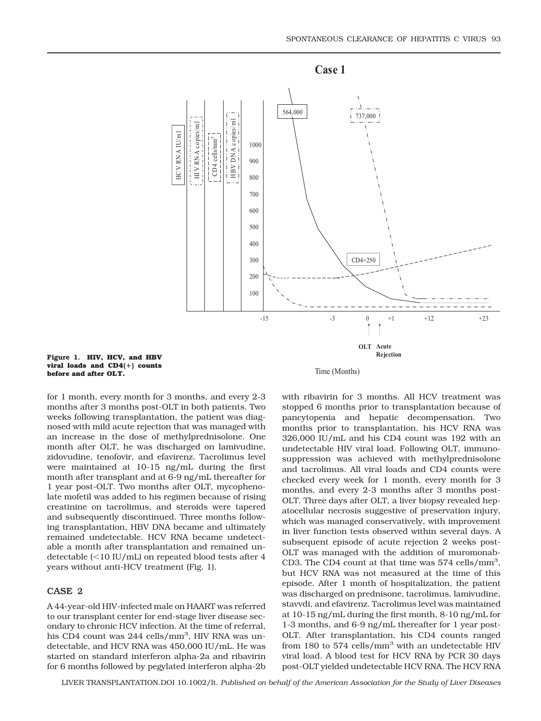

**Figure 1. HIV, HCV, and HBV viral loads and CD4() counts before and after OLT.**

Time (Months)

for 1 month, every month for 3 months, and every 2-3 months after 3 months post-OLT in both patients. Two weeks following transplantation, the patient was diagnosed with mild acute rejection that was managed with an increase in the dose of methylprednisolone. One month after OLT, he was discharged on lamivudine, zidovudine, tenofovir, and efavirenz. Tacrolimus level were maintained at 10-15 ng/mL during the first month after transplant and at 6-9 ng/mL thereafter for 1 year post-OLT. Two months after OLT, mycophenolate mofetil was added to his regimen because of rising creatinine on tacrolimus, and steroids were tapered and subsequently discontinued. Three months following transplantation, HBV DNA became and ultimately remained undetectable. HCV RNA became undetectable a month after transplantation and remained undetectable (<10 IU/mL) on repeated blood tests after 4 years without anti-HCV treatment (Fig. 1).

# CASE 2

A 44-year-old HIV-infected male on HAART was referred to our transplant center for end-stage liver disease secondary to chronic HCV infection. At the time of referral, his CD4 count was 244 cells/mm<sup>3</sup>, HIV RNA was undetectable, and HCV RNA was 450,000 IU/mL. He was started on standard interferon alpha-2a and ribavirin for 6 months followed by pegylated interferon alpha-2b with ribavirin for 3 months. All HCV treatment was stopped 6 months prior to transplantation because of pancytopenia and hepatic decompensation. Two months prior to transplantation, his HCV RNA was 326,000 IU/mL and his CD4 count was 192 with an undetectable HIV viral load. Following OLT, immunosuppression was achieved with methylprednisolone and tacrolimus. All viral loads and CD4 counts were checked every week for 1 month, every month for 3 months, and every 2-3 months after 3 months post-OLT. Three days after OLT, a liver biopsy revealed hepatocellular necrosis suggestive of preservation injury, which was managed conservatively, with improvement in liver function tests observed within several days. A subsequent episode of acute rejection 2 weeks post-OLT was managed with the addition of muromonab-CD3. The CD4 count at that time was 574 cells/mm<sup>3</sup>, but HCV RNA was not measured at the time of this episode. After 1 month of hospitalization, the patient was discharged on prednisone, tacrolimus, lamivudine, stavvdi, and efavirenz. Tacrolimus level was maintained at 10-15 ng/mL during the first month, 8-10 ng/mL for 1-3 months, and 6-9 ng/mL thereafter for 1 year post-OLT. After transplantation, his CD4 counts ranged from 180 to  $574$  cells/mm<sup>3</sup> with an undetectable HIV viral load. A blood test for HCV RNA by PCR 30 days post-OLT yielded undetectable HCV RNA. The HCV RNA

LIVER TRANSPLANTATION.DOI 10.1002/lt. *Published on behalf of the American Association for the Study of Liver Diseases*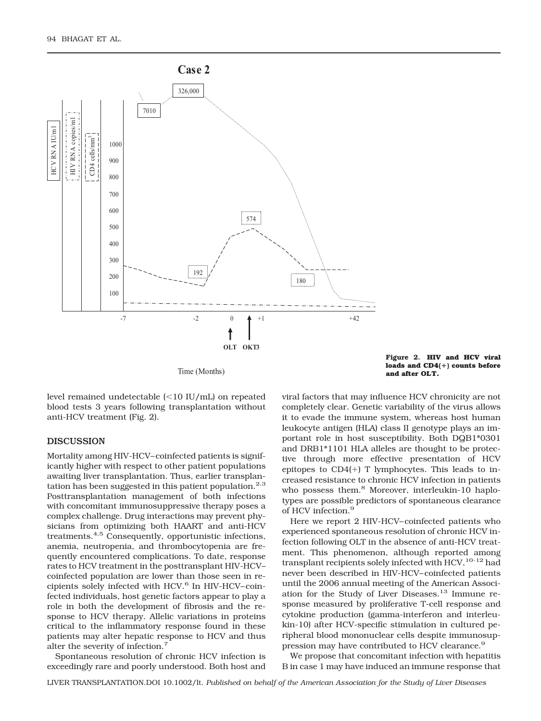

Time (Months)

**Figure 2. HIV and HCV viral loads and CD4() counts before and after OLT.**

level remained undetectable (<10 IU/mL) on repeated blood tests 3 years following transplantation without anti-HCV treatment (Fig. 2).

# DISCUSSION

Mortality among HIV-HCV– coinfected patients is significantly higher with respect to other patient populations awaiting liver transplantation. Thus, earlier transplantation has been suggested in this patient population. $2.3$ Posttransplantation management of both infections with concomitant immunosuppressive therapy poses a complex challenge. Drug interactions may prevent physicians from optimizing both HAART and anti-HCV treatments.4,5 Consequently, opportunistic infections, anemia, neutropenia, and thrombocytopenia are frequently encountered complications. To date, response rates to HCV treatment in the posttransplant HIV-HCV– coinfected population are lower than those seen in recipients solely infected with HCV.<sup>6</sup> In HIV-HCV-coinfected individuals, host genetic factors appear to play a role in both the development of fibrosis and the response to HCV therapy. Allelic variations in proteins critical to the inflammatory response found in these patients may alter hepatic response to HCV and thus alter the severity of infection.7

Spontaneous resolution of chronic HCV infection is exceedingly rare and poorly understood. Both host and viral factors that may influence HCV chronicity are not completely clear. Genetic variability of the virus allows it to evade the immune system, whereas host human leukocyte antigen (HLA) class II genotype plays an important role in host susceptibility. Both DQB1\*0301 and DRB1\*1101 HLA alleles are thought to be protective through more effective presentation of HCV epitopes to  $CD4(+)$  T lymphocytes. This leads to increased resistance to chronic HCV infection in patients who possess them.<sup>8</sup> Moreover, interleukin-10 haplotypes are possible predictors of spontaneous clearance of HCV infection.<sup>9</sup>

Here we report 2 HIV-HCV– coinfected patients who experienced spontaneous resolution of chronic HCV infection following OLT in the absence of anti-HCV treatment. This phenomenon, although reported among transplant recipients solely infected with  $HCV$ ,  $10-12$  had never been described in HIV-HCV– coinfected patients until the 2006 annual meeting of the American Association for the Study of Liver Diseases.13 Immune response measured by proliferative T-cell response and cytokine production (gamma-interferon and interleukin-10) after HCV-specific stimulation in cultured peripheral blood mononuclear cells despite immunosuppression may have contributed to HCV clearance.<sup>9</sup>

We propose that concomitant infection with hepatitis B in case 1 may have induced an immune response that

LIVER TRANSPLANTATION.DOI 10.1002/lt. *Published on behalf of the American Association for the Study of Liver Diseases*